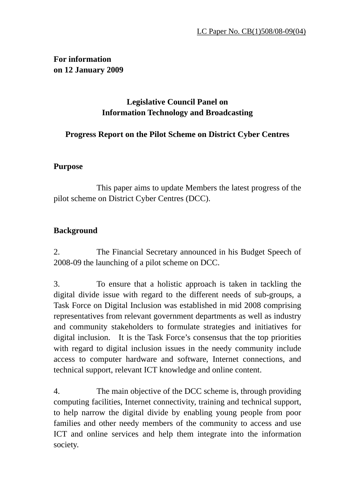### **For information on 12 January 2009**

# **Legislative Council Panel on Information Technology and Broadcasting**

## **Progress Report on the Pilot Scheme on District Cyber Centres**

### **Purpose**

 This paper aims to update Members the latest progress of the pilot scheme on District Cyber Centres (DCC).

## **Background**

2. The Financial Secretary announced in his Budget Speech of 2008-09 the launching of a pilot scheme on DCC.

3. To ensure that a holistic approach is taken in tackling the digital divide issue with regard to the different needs of sub-groups, a Task Force on Digital Inclusion was established in mid 2008 comprising representatives from relevant government departments as well as industry and community stakeholders to formulate strategies and initiatives for digital inclusion. It is the Task Force's consensus that the top priorities with regard to digital inclusion issues in the needy community include access to computer hardware and software, Internet connections, and technical support, relevant ICT knowledge and online content.

4. The main objective of the DCC scheme is, through providing computing facilities, Internet connectivity, training and technical support, to help narrow the digital divide by enabling young people from poor families and other needy members of the community to access and use ICT and online services and help them integrate into the information society.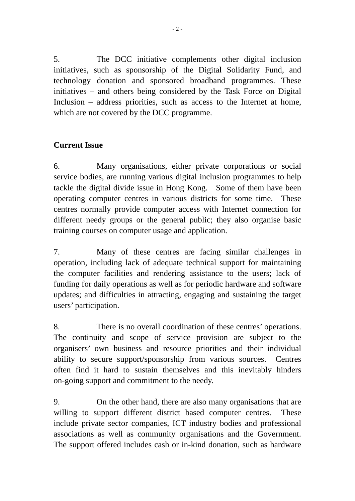5. The DCC initiative complements other digital inclusion initiatives, such as sponsorship of the Digital Solidarity Fund, and technology donation and sponsored broadband programmes. These initiatives – and others being considered by the Task Force on Digital Inclusion – address priorities, such as access to the Internet at home, which are not covered by the DCC programme.

### **Current Issue**

6. Many organisations, either private corporations or social service bodies, are running various digital inclusion programmes to help tackle the digital divide issue in Hong Kong. Some of them have been operating computer centres in various districts for some time. These centres normally provide computer access with Internet connection for different needy groups or the general public; they also organise basic training courses on computer usage and application.

7. Many of these centres are facing similar challenges in operation, including lack of adequate technical support for maintaining the computer facilities and rendering assistance to the users; lack of funding for daily operations as well as for periodic hardware and software updates; and difficulties in attracting, engaging and sustaining the target users' participation.

8. There is no overall coordination of these centres' operations. The continuity and scope of service provision are subject to the organisers' own business and resource priorities and their individual ability to secure support/sponsorship from various sources. Centres often find it hard to sustain themselves and this inevitably hinders on-going support and commitment to the needy.

9. On the other hand, there are also many organisations that are willing to support different district based computer centres. These include private sector companies, ICT industry bodies and professional associations as well as community organisations and the Government. The support offered includes cash or in-kind donation, such as hardware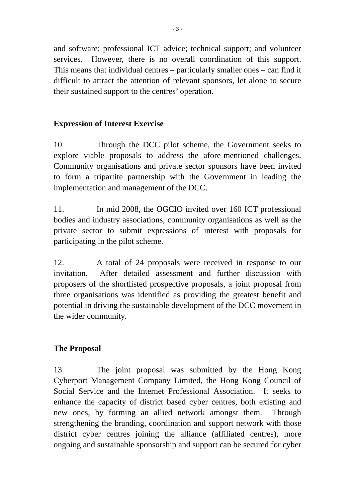and software; professional ICT advice; technical support; and volunteer services. However, there is no overall coordination of this support. This means that individual centres – particularly smaller ones – can find it difficult to attract the attention of relevant sponsors, let alone to secure their sustained support to the centres' operation.

### **Expression of Interest Exercise**

10. Through the DCC pilot scheme, the Government seeks to explore viable proposals to address the afore-mentioned challenges. Community organisations and private sector sponsors have been invited to form a tripartite partnership with the Government in leading the implementation and management of the DCC.

11. In mid 2008, the OGCIO invited over 160 ICT professional bodies and industry associations, community organisations as well as the private sector to submit expressions of interest with proposals for participating in the pilot scheme.

12. A total of 24 proposals were received in response to our invitation. After detailed assessment and further discussion with proposers of the shortlisted prospective proposals, a joint proposal from three organisations was identified as providing the greatest benefit and potential in driving the sustainable development of the DCC movement in the wider community.

#### **The Proposal**

13. The joint proposal was submitted by the Hong Kong Cyberport Management Company Limited, the Hong Kong Council of Social Service and the Internet Professional Association. It seeks to enhance the capacity of district based cyber centres, both existing and new ones, by forming an allied network amongst them. Through strengthening the branding, coordination and support network with those district cyber centres joining the alliance (affiliated centres), more ongoing and sustainable sponsorship and support can be secured for cyber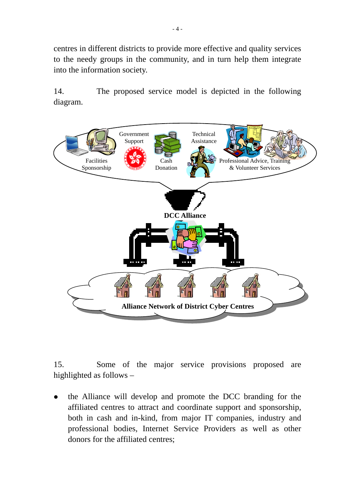centres in different districts to provide more effective and quality services to the needy groups in the community, and in turn help them integrate into the information society.

14. The proposed service model is depicted in the following diagram.



15. Some of the major service provisions proposed are highlighted as follows –

the Alliance will develop and promote the DCC branding for the affiliated centres to attract and coordinate support and sponsorship, both in cash and in-kind, from major IT companies, industry and professional bodies, Internet Service Providers as well as other donors for the affiliated centres;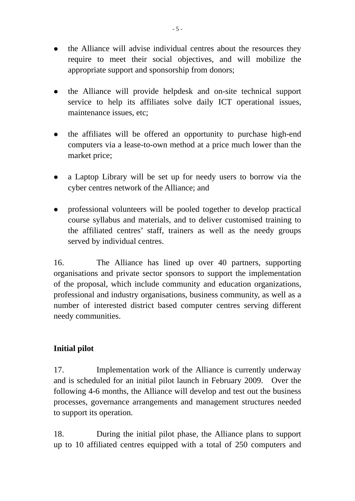- the Alliance will advise individual centres about the resources they require to meet their social objectives, and will mobilize the appropriate support and sponsorship from donors;
- z the Alliance will provide helpdesk and on-site technical support service to help its affiliates solve daily ICT operational issues, maintenance issues, etc;
- the affiliates will be offered an opportunity to purchase high-end computers via a lease-to-own method at a price much lower than the market price;
- a Laptop Library will be set up for needy users to borrow via the cyber centres network of the Alliance; and
- professional volunteers will be pooled together to develop practical course syllabus and materials, and to deliver customised training to the affiliated centres' staff, trainers as well as the needy groups served by individual centres.

16. The Alliance has lined up over 40 partners, supporting organisations and private sector sponsors to support the implementation of the proposal, which include community and education organizations, professional and industry organisations, business community, as well as a number of interested district based computer centres serving different needy communities.

### **Initial pilot**

17. Implementation work of the Alliance is currently underway and is scheduled for an initial pilot launch in February 2009. Over the following 4-6 months, the Alliance will develop and test out the business processes, governance arrangements and management structures needed to support its operation.

18. During the initial pilot phase, the Alliance plans to support up to 10 affiliated centres equipped with a total of 250 computers and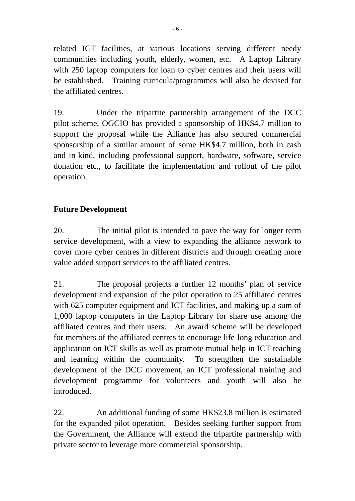related ICT facilities, at various locations serving different needy communities including youth, elderly, women, etc. A Laptop Library with 250 laptop computers for loan to cyber centres and their users will be established. Training curricula/programmes will also be devised for the affiliated centres.

19. Under the tripartite partnership arrangement of the DCC pilot scheme, OGCIO has provided a sponsorship of HK\$4.7 million to support the proposal while the Alliance has also secured commercial sponsorship of a similar amount of some HK\$4.7 million, both in cash and in-kind, including professional support, hardware, software, service donation etc., to facilitate the implementation and rollout of the pilot operation.

## **Future Development**

20. The initial pilot is intended to pave the way for longer term service development, with a view to expanding the alliance network to cover more cyber centres in different districts and through creating more value added support services to the affiliated centres.

21. The proposal projects a further 12 months' plan of service development and expansion of the pilot operation to 25 affiliated centres with 625 computer equipment and ICT facilities, and making up a sum of 1,000 laptop computers in the Laptop Library for share use among the affiliated centres and their users. An award scheme will be developed for members of the affiliated centres to encourage life-long education and application on ICT skills as well as promote mutual help in ICT teaching and learning within the community. To strengthen the sustainable development of the DCC movement, an ICT professional training and development programme for volunteers and youth will also be introduced.

22. An additional funding of some HK\$23.8 million is estimated for the expanded pilot operation. Besides seeking further support from the Government, the Alliance will extend the tripartite partnership with private sector to leverage more commercial sponsorship.